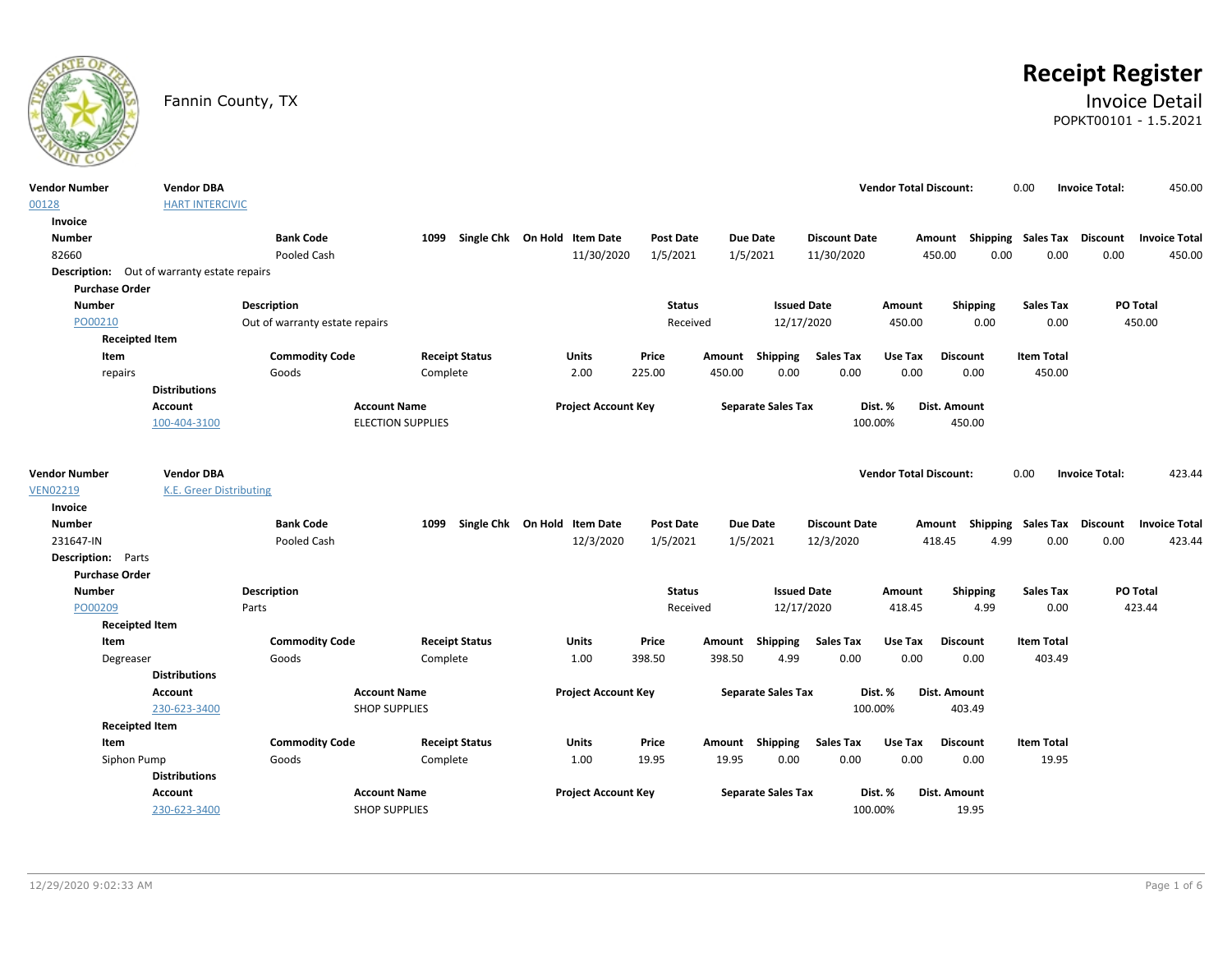

# **Receipt Register**

### Fannin County, TX **Invoice Detail** POPKT00101 - 1.5.2021

| <b>Vendor Number</b><br>00128                      | <b>Vendor DBA</b><br><b>HART INTERCIVIC</b> |                                |                          |                              |                            |                  |        |                           |                      | <b>Vendor Total Discount:</b> |                                    | 0.00              | <b>Invoice Total:</b> | 450.00               |
|----------------------------------------------------|---------------------------------------------|--------------------------------|--------------------------|------------------------------|----------------------------|------------------|--------|---------------------------|----------------------|-------------------------------|------------------------------------|-------------------|-----------------------|----------------------|
| Invoice                                            |                                             |                                |                          |                              |                            |                  |        |                           |                      |                               |                                    |                   |                       |                      |
| <b>Number</b>                                      |                                             | <b>Bank Code</b>               | 1099                     | Single Chk On Hold Item Date |                            | <b>Post Date</b> |        | <b>Due Date</b>           | <b>Discount Date</b> |                               | Amount Shipping Sales Tax Discount |                   |                       | <b>Invoice Total</b> |
| 82660                                              |                                             | Pooled Cash                    |                          |                              | 11/30/2020                 | 1/5/2021         |        | 1/5/2021                  | 11/30/2020           |                               | 0.00<br>450.00                     | 0.00              | 0.00                  | 450.00               |
| <b>Description:</b> Out of warranty estate repairs |                                             |                                |                          |                              |                            |                  |        |                           |                      |                               |                                    |                   |                       |                      |
| <b>Purchase Order</b>                              |                                             |                                |                          |                              |                            |                  |        |                           |                      |                               |                                    |                   |                       |                      |
| <b>Number</b>                                      |                                             | <b>Description</b>             |                          |                              |                            | <b>Status</b>    |        | <b>Issued Date</b>        |                      | Amount                        | Shipping                           | <b>Sales Tax</b>  | PO Total              |                      |
| PO00210                                            |                                             | Out of warranty estate repairs |                          |                              |                            | Received         |        | 12/17/2020                |                      | 450.00                        | 0.00                               | 0.00              |                       | 450.00               |
| <b>Receipted Item</b>                              |                                             |                                |                          |                              |                            |                  |        |                           |                      |                               |                                    |                   |                       |                      |
| Item                                               |                                             | <b>Commodity Code</b>          | <b>Receipt Status</b>    |                              | Units                      | Price            |        | Amount Shipping           | Sales Tax            | Use Tax                       | <b>Discount</b>                    | <b>Item Total</b> |                       |                      |
| repairs                                            |                                             | Goods                          | Complete                 |                              | 2.00                       | 225.00           | 450.00 | 0.00                      | 0.00                 | 0.00                          | 0.00                               | 450.00            |                       |                      |
|                                                    | <b>Distributions</b>                        |                                |                          |                              |                            |                  |        |                           |                      |                               |                                    |                   |                       |                      |
|                                                    | <b>Account</b>                              |                                | <b>Account Name</b>      |                              | <b>Project Account Key</b> |                  |        | <b>Separate Sales Tax</b> | Dist. %              |                               | Dist. Amount                       |                   |                       |                      |
|                                                    | 100-404-3100                                |                                | <b>ELECTION SUPPLIES</b> |                              |                            |                  |        |                           | 100.00%              |                               | 450.00                             |                   |                       |                      |
|                                                    |                                             |                                |                          |                              |                            |                  |        |                           |                      |                               |                                    |                   |                       |                      |
| <b>Vendor Number</b>                               | <b>Vendor DBA</b>                           |                                |                          |                              |                            |                  |        |                           |                      | <b>Vendor Total Discount:</b> |                                    | 0.00              | <b>Invoice Total:</b> | 423.44               |
| <b>VEN02219</b>                                    | <b>K.E. Greer Distributing</b>              |                                |                          |                              |                            |                  |        |                           |                      |                               |                                    |                   |                       |                      |
| Invoice                                            |                                             |                                |                          |                              |                            |                  |        |                           |                      |                               |                                    |                   |                       |                      |
| <b>Number</b>                                      |                                             | <b>Bank Code</b>               | 1099                     | Single Chk On Hold Item Date |                            | <b>Post Date</b> |        | <b>Due Date</b>           | <b>Discount Date</b> |                               | Amount Shipping Sales Tax Discount |                   |                       | <b>Invoice Total</b> |
| 231647-IN                                          |                                             | Pooled Cash                    |                          |                              | 12/3/2020                  | 1/5/2021         |        | 1/5/2021                  | 12/3/2020            |                               | 418.45<br>4.99                     | 0.00              | 0.00                  | 423.44               |
| <b>Description:</b> Parts                          |                                             |                                |                          |                              |                            |                  |        |                           |                      |                               |                                    |                   |                       |                      |
| <b>Purchase Order</b>                              |                                             |                                |                          |                              |                            |                  |        |                           |                      |                               |                                    |                   |                       |                      |
| <b>Number</b>                                      |                                             | <b>Description</b>             |                          |                              |                            | <b>Status</b>    |        | <b>Issued Date</b>        |                      | Amount                        | Shipping                           | <b>Sales Tax</b>  | PO Total              |                      |
| PO00209                                            |                                             | Parts                          |                          |                              |                            | Received         |        | 12/17/2020                |                      | 418.45                        | 4.99                               | 0.00              |                       | 423.44               |
| <b>Receipted Item</b>                              |                                             |                                |                          |                              |                            |                  |        |                           |                      |                               |                                    |                   |                       |                      |
| Item                                               |                                             | <b>Commodity Code</b>          | <b>Receipt Status</b>    |                              | Units                      | Price            | Amount | <b>Shipping</b>           | <b>Sales Tax</b>     | Use Tax                       | <b>Discount</b>                    | <b>Item Total</b> |                       |                      |
| Degreaser                                          |                                             | Goods                          | Complete                 |                              | 1.00                       | 398.50           | 398.50 | 4.99                      | 0.00                 | 0.00                          | 0.00                               | 403.49            |                       |                      |
|                                                    | <b>Distributions</b>                        |                                |                          |                              |                            |                  |        |                           |                      |                               |                                    |                   |                       |                      |
|                                                    | <b>Account</b>                              |                                | <b>Account Name</b>      |                              | <b>Project Account Key</b> |                  |        | <b>Separate Sales Tax</b> | Dist. %              |                               | Dist. Amount                       |                   |                       |                      |
|                                                    | 230-623-3400                                |                                | <b>SHOP SUPPLIES</b>     |                              |                            |                  |        |                           | 100.00%              |                               | 403.49                             |                   |                       |                      |
| <b>Receipted Item</b>                              |                                             |                                |                          |                              |                            |                  |        |                           |                      |                               |                                    |                   |                       |                      |
| Item                                               |                                             | <b>Commodity Code</b>          | <b>Receipt Status</b>    |                              | <b>Units</b>               | Price            |        | Amount Shipping           | <b>Sales Tax</b>     | Use Tax                       | <b>Discount</b>                    | <b>Item Total</b> |                       |                      |
| Siphon Pump                                        |                                             | Goods                          | Complete                 |                              | 1.00                       | 19.95            | 19.95  | 0.00                      | 0.00                 | 0.00                          | 0.00                               | 19.95             |                       |                      |
|                                                    | <b>Distributions</b>                        |                                |                          |                              |                            |                  |        |                           |                      |                               |                                    |                   |                       |                      |
|                                                    | <b>Account</b>                              |                                | <b>Account Name</b>      |                              | <b>Project Account Key</b> |                  |        | <b>Separate Sales Tax</b> | Dist. %              |                               | Dist. Amount                       |                   |                       |                      |
|                                                    | 230-623-3400                                |                                | <b>SHOP SUPPLIES</b>     |                              |                            |                  |        |                           | 100.00%              |                               | 19.95                              |                   |                       |                      |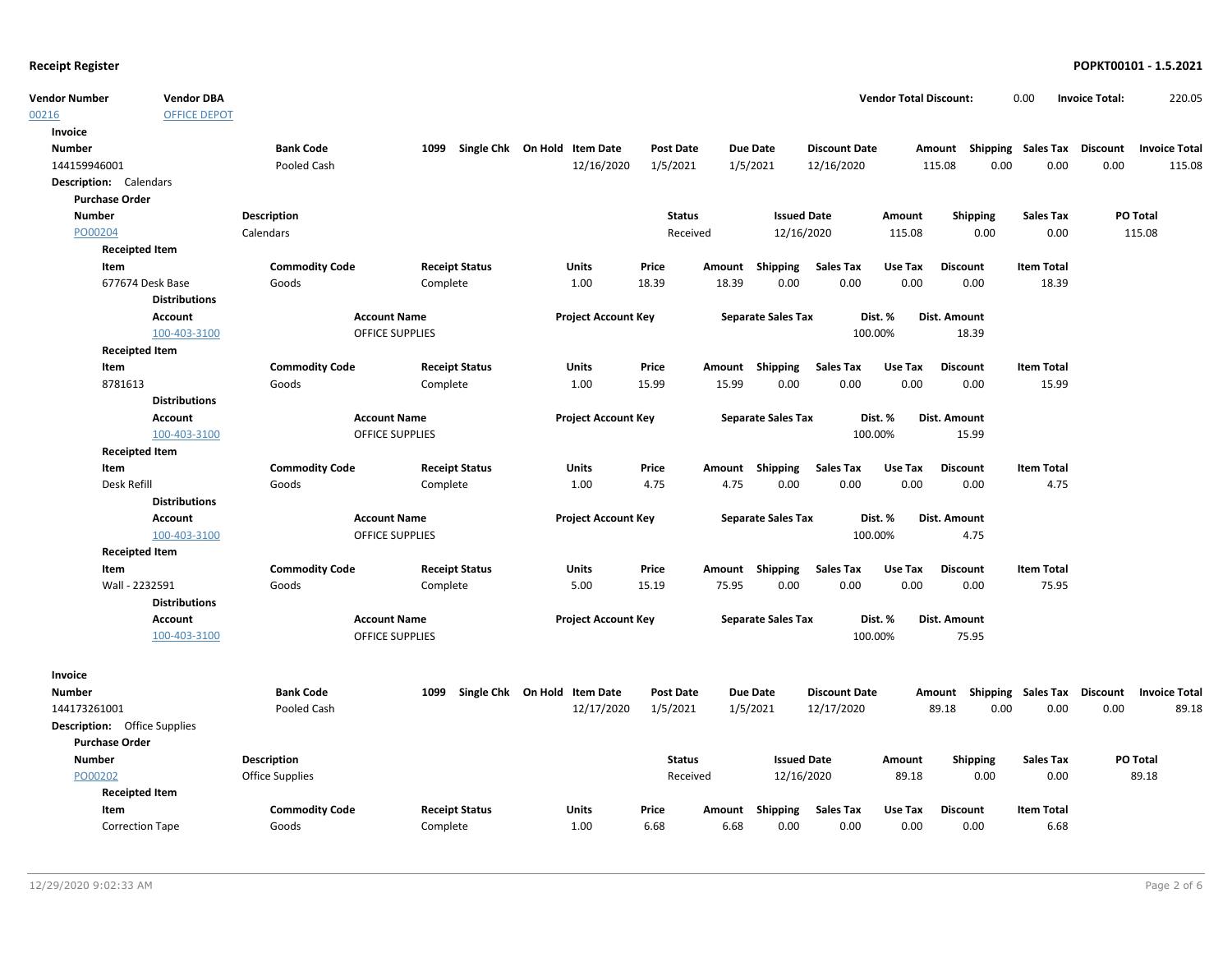00216

| <b>Receipt Register</b>             |                       |                       |                        |                       |                                   |                  |       |                           |                      |                               |                                    |                   |                       | POPKT00101 - 1.5.2021 |
|-------------------------------------|-----------------------|-----------------------|------------------------|-----------------------|-----------------------------------|------------------|-------|---------------------------|----------------------|-------------------------------|------------------------------------|-------------------|-----------------------|-----------------------|
| Vendor Number                       | <b>Vendor DBA</b>     |                       |                        |                       |                                   |                  |       |                           |                      | <b>Vendor Total Discount:</b> |                                    | 0.00              | <b>Invoice Total:</b> | 220.05                |
| 00216                               | <b>OFFICE DEPOT</b>   |                       |                        |                       |                                   |                  |       |                           |                      |                               |                                    |                   |                       |                       |
| Invoice                             |                       |                       |                        |                       |                                   |                  |       |                           |                      |                               |                                    |                   |                       |                       |
| <b>Number</b>                       |                       | <b>Bank Code</b>      |                        |                       | 1099 Single Chk On Hold Item Date | <b>Post Date</b> |       | <b>Due Date</b>           | <b>Discount Date</b> |                               | Amount Shipping Sales Tax Discount |                   |                       | <b>Invoice Total</b>  |
| 144159946001                        |                       | Pooled Cash           |                        |                       | 12/16/2020                        | 1/5/2021         |       | 1/5/2021                  | 12/16/2020           |                               | 115.08<br>0.00                     | 0.00              | 0.00                  | 115.08                |
| <b>Description:</b> Calendars       |                       |                       |                        |                       |                                   |                  |       |                           |                      |                               |                                    |                   |                       |                       |
| <b>Purchase Order</b>               |                       |                       |                        |                       |                                   |                  |       |                           |                      |                               |                                    |                   |                       |                       |
| <b>Number</b>                       |                       | <b>Description</b>    |                        |                       |                                   | <b>Status</b>    |       | <b>Issued Date</b>        |                      | Amount                        | <b>Shipping</b>                    | <b>Sales Tax</b>  |                       | PO Total              |
| PO00204                             |                       | Calendars             |                        |                       |                                   | Received         |       | 12/16/2020                |                      | 115.08                        | 0.00                               | 0.00              |                       | 115.08                |
|                                     | <b>Receipted Item</b> |                       |                        |                       |                                   |                  |       |                           |                      |                               |                                    |                   |                       |                       |
| Item                                |                       | <b>Commodity Code</b> |                        | <b>Receipt Status</b> | Units                             | Price            |       | Amount Shipping           | <b>Sales Tax</b>     | Use Tax                       | <b>Discount</b>                    | <b>Item Total</b> |                       |                       |
|                                     | 677674 Desk Base      | Goods                 | Complete               |                       | 1.00                              | 18.39            | 18.39 | 0.00                      | 0.00                 | 0.00                          | 0.00                               | 18.39             |                       |                       |
|                                     | <b>Distributions</b>  |                       |                        |                       |                                   |                  |       |                           |                      |                               |                                    |                   |                       |                       |
|                                     | Account               |                       | <b>Account Name</b>    |                       | <b>Project Account Key</b>        |                  |       | <b>Separate Sales Tax</b> |                      | Dist. %                       | Dist. Amount                       |                   |                       |                       |
|                                     | 100-403-3100          |                       | <b>OFFICE SUPPLIES</b> |                       |                                   |                  |       |                           |                      | 100.00%                       | 18.39                              |                   |                       |                       |
|                                     | <b>Receipted Item</b> |                       |                        |                       |                                   |                  |       |                           |                      |                               |                                    |                   |                       |                       |
| Item                                |                       | <b>Commodity Code</b> |                        | <b>Receipt Status</b> | Units                             | Price            |       | Amount Shipping           | <b>Sales Tax</b>     | Use Tax                       | <b>Discount</b>                    | <b>Item Total</b> |                       |                       |
| 8781613                             |                       | Goods                 | Complete               |                       | 1.00                              | 15.99            | 15.99 | 0.00                      | 0.00                 | 0.00                          | 0.00                               | 15.99             |                       |                       |
|                                     | <b>Distributions</b>  |                       |                        |                       |                                   |                  |       |                           |                      |                               |                                    |                   |                       |                       |
|                                     | <b>Account</b>        |                       | <b>Account Name</b>    |                       | <b>Project Account Key</b>        |                  |       | <b>Separate Sales Tax</b> |                      | Dist. %                       | Dist. Amount                       |                   |                       |                       |
|                                     | 100-403-3100          |                       | <b>OFFICE SUPPLIES</b> |                       |                                   |                  |       |                           |                      | 100.00%                       | 15.99                              |                   |                       |                       |
|                                     | <b>Receipted Item</b> |                       |                        |                       |                                   |                  |       |                           |                      |                               |                                    |                   |                       |                       |
| Item                                |                       | <b>Commodity Code</b> |                        | <b>Receipt Status</b> | Units                             | Price            |       | Amount Shipping           | <b>Sales Tax</b>     | Use Tax                       | <b>Discount</b>                    | <b>Item Total</b> |                       |                       |
| Desk Refill                         |                       | Goods                 | Complete               |                       | 1.00                              | 4.75             | 4.75  | 0.00                      | 0.00                 | 0.00                          | 0.00                               | 4.75              |                       |                       |
|                                     | <b>Distributions</b>  |                       |                        |                       |                                   |                  |       |                           |                      |                               |                                    |                   |                       |                       |
|                                     | <b>Account</b>        |                       | <b>Account Name</b>    |                       | <b>Project Account Key</b>        |                  |       | <b>Separate Sales Tax</b> |                      | Dist. %                       | Dist. Amount                       |                   |                       |                       |
|                                     | 100-403-3100          |                       | <b>OFFICE SUPPLIES</b> |                       |                                   |                  |       |                           |                      | 100.00%                       | 4.75                               |                   |                       |                       |
|                                     | <b>Receipted Item</b> |                       |                        |                       |                                   |                  |       |                           |                      |                               |                                    |                   |                       |                       |
| Item                                |                       | <b>Commodity Code</b> |                        | <b>Receipt Status</b> | <b>Units</b>                      | Price            |       | Amount Shipping           | <b>Sales Tax</b>     | Use Tax                       | <b>Discount</b>                    | <b>Item Total</b> |                       |                       |
| Wall - 2232591                      |                       | Goods                 | Complete               |                       | 5.00                              | 15.19            | 75.95 | 0.00                      | 0.00                 | 0.00                          | 0.00                               | 75.95             |                       |                       |
|                                     | <b>Distributions</b>  |                       |                        |                       |                                   |                  |       |                           |                      |                               |                                    |                   |                       |                       |
|                                     | <b>Account</b>        |                       | <b>Account Name</b>    |                       | <b>Project Account Key</b>        |                  |       | <b>Separate Sales Tax</b> |                      | Dist. %                       | Dist. Amount                       |                   |                       |                       |
|                                     | 100-403-3100          |                       | OFFICE SUPPLIES        |                       |                                   |                  |       |                           |                      | 100.00%                       | 75.95                              |                   |                       |                       |
| Invoice                             |                       |                       |                        |                       |                                   |                  |       |                           |                      |                               |                                    |                   |                       |                       |
| <b>Number</b>                       |                       | <b>Bank Code</b>      |                        |                       | 1099 Single Chk On Hold Item Date | <b>Post Date</b> |       | <b>Due Date</b>           | <b>Discount Date</b> |                               | Amount Shipping Sales Tax Discount |                   |                       | <b>Invoice Total</b>  |
| 144173261001                        |                       | Pooled Cash           |                        |                       | 12/17/2020                        | 1/5/2021         |       | 1/5/2021                  | 12/17/2020           |                               | 0.00<br>89.18                      | 0.00              | 0.00                  | 89.18                 |
| <b>Description:</b> Office Supplies |                       |                       |                        |                       |                                   |                  |       |                           |                      |                               |                                    |                   |                       |                       |
| <b>Purchase Order</b>               |                       |                       |                        |                       |                                   |                  |       |                           |                      |                               |                                    |                   |                       |                       |

| <b>Number</b>          | Description           |                       |       |       | Status   | <b>Issued Date</b> |                  | Amount  | <b>Shipping</b> | <b>Sales Tax</b>  | <b>PO Total</b> |
|------------------------|-----------------------|-----------------------|-------|-------|----------|--------------------|------------------|---------|-----------------|-------------------|-----------------|
| PO00202                | Office Supplies       |                       |       |       | Received |                    | 12/16/2020       |         | 0.00            | 0.00              | 89.18           |
| <b>Receipted Item</b>  |                       |                       |       |       |          |                    |                  |         |                 |                   |                 |
| Item                   | <b>Commodity Code</b> | <b>Receipt Status</b> | Units | Price | Amount   | <b>Shipping</b>    | <b>Sales Tax</b> | Use Tax | <b>Discount</b> | <b>Item Total</b> |                 |
| <b>Correction Tape</b> | Goods                 | Complete              | 1.00  | 6.68  | 6.68     | 0.00               | 0.00             | 0.00    | 0.00            | 6.68              |                 |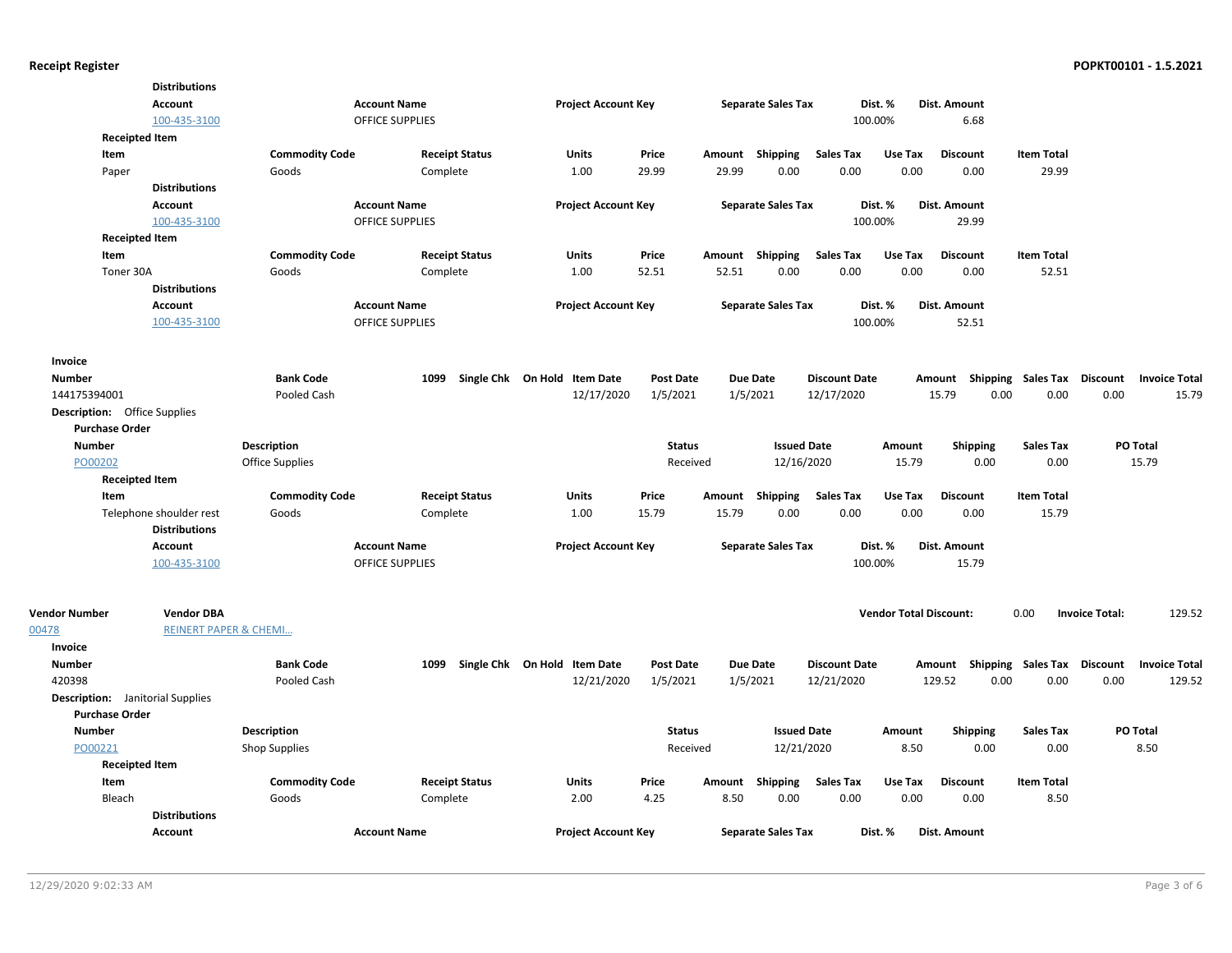|                                         | <b>Distributions</b>             |                       |                        |                              |                  |                           |                      |                               |                           |                   |                                         |
|-----------------------------------------|----------------------------------|-----------------------|------------------------|------------------------------|------------------|---------------------------|----------------------|-------------------------------|---------------------------|-------------------|-----------------------------------------|
|                                         | <b>Account</b>                   |                       | <b>Account Name</b>    | <b>Project Account Key</b>   |                  | <b>Separate Sales Tax</b> |                      | Dist. %                       | Dist. Amount              |                   |                                         |
|                                         | 100-435-3100                     |                       | <b>OFFICE SUPPLIES</b> |                              |                  |                           |                      | 100.00%                       | 6.68                      |                   |                                         |
| <b>Receipted Item</b>                   |                                  |                       |                        |                              |                  |                           |                      |                               |                           |                   |                                         |
| Item                                    |                                  | <b>Commodity Code</b> | <b>Receipt Status</b>  | <b>Units</b>                 | Price            | Amount Shipping           | <b>Sales Tax</b>     | Use Tax                       | <b>Discount</b>           | <b>Item Total</b> |                                         |
| Paper                                   |                                  | Goods                 | Complete               | 1.00                         | 29.99            | 29.99<br>0.00             | 0.00                 | 0.00                          | 0.00                      | 29.99             |                                         |
|                                         | <b>Distributions</b>             |                       |                        |                              |                  |                           |                      |                               |                           |                   |                                         |
|                                         | <b>Account</b>                   |                       | <b>Account Name</b>    | <b>Project Account Key</b>   |                  | <b>Separate Sales Tax</b> |                      | Dist. %                       | Dist. Amount              |                   |                                         |
|                                         | 100-435-3100                     |                       | OFFICE SUPPLIES        |                              |                  |                           |                      | 100.00%                       | 29.99                     |                   |                                         |
| <b>Receipted Item</b>                   |                                  |                       |                        |                              |                  |                           |                      |                               |                           |                   |                                         |
| Item                                    |                                  | <b>Commodity Code</b> | <b>Receipt Status</b>  | Units                        | Price            | <b>Shipping</b><br>Amount | <b>Sales Tax</b>     | Use Tax                       | <b>Discount</b>           | <b>Item Total</b> |                                         |
| Toner 30A                               |                                  | Goods                 | Complete               | 1.00                         | 52.51            | 52.51<br>0.00             | 0.00                 | 0.00                          | 0.00                      | 52.51             |                                         |
|                                         | <b>Distributions</b>             |                       |                        |                              |                  |                           |                      |                               |                           |                   |                                         |
|                                         | <b>Account</b>                   |                       | <b>Account Name</b>    | <b>Project Account Key</b>   |                  | <b>Separate Sales Tax</b> |                      | Dist. %                       | Dist. Amount              |                   |                                         |
|                                         | 100-435-3100                     |                       | <b>OFFICE SUPPLIES</b> |                              |                  |                           |                      | 100.00%                       | 52.51                     |                   |                                         |
| Invoice                                 |                                  |                       |                        |                              |                  |                           |                      |                               |                           |                   |                                         |
| <b>Number</b>                           |                                  | <b>Bank Code</b>      | 1099                   | Single Chk On Hold Item Date | <b>Post Date</b> | <b>Due Date</b>           | <b>Discount Date</b> |                               | Amount Shipping Sales Tax |                   | <b>Discount</b><br><b>Invoice Total</b> |
| 144175394001                            |                                  | Pooled Cash           |                        | 12/17/2020                   | 1/5/2021         | 1/5/2021                  | 12/17/2020           |                               | 15.79<br>0.00             | 0.00              | 0.00<br>15.79                           |
| <b>Description:</b> Office Supplies     |                                  |                       |                        |                              |                  |                           |                      |                               |                           |                   |                                         |
| <b>Purchase Order</b>                   |                                  |                       |                        |                              |                  |                           |                      |                               |                           |                   |                                         |
| <b>Number</b>                           |                                  | <b>Description</b>    |                        |                              | <b>Status</b>    |                           | <b>Issued Date</b>   | Amount                        | <b>Shipping</b>           | <b>Sales Tax</b>  | <b>PO Total</b>                         |
| PO00202                                 |                                  | Office Supplies       |                        |                              | Received         |                           | 12/16/2020           | 15.79                         | 0.00                      | 0.00              | 15.79                                   |
| <b>Receipted Item</b>                   |                                  |                       |                        |                              |                  |                           |                      |                               |                           |                   |                                         |
| Item                                    |                                  | <b>Commodity Code</b> | <b>Receipt Status</b>  | <b>Units</b>                 | Price            | Amount<br>Shipping        | <b>Sales Tax</b>     | Use Tax                       | <b>Discount</b>           | <b>Item Total</b> |                                         |
|                                         | Telephone shoulder rest          | Goods                 | Complete               | 1.00                         | 15.79            | 15.79<br>0.00             | 0.00                 | 0.00                          | 0.00                      | 15.79             |                                         |
|                                         | <b>Distributions</b>             |                       |                        |                              |                  |                           |                      |                               |                           |                   |                                         |
|                                         | <b>Account</b>                   |                       | <b>Account Name</b>    | <b>Project Account Key</b>   |                  | <b>Separate Sales Tax</b> |                      | Dist. %                       | Dist. Amount              |                   |                                         |
|                                         | 100-435-3100                     |                       | <b>OFFICE SUPPLIES</b> |                              |                  |                           |                      | 100.00%                       | 15.79                     |                   |                                         |
|                                         |                                  |                       |                        |                              |                  |                           |                      |                               |                           |                   |                                         |
| <b>Vendor Number</b>                    | <b>Vendor DBA</b>                |                       |                        |                              |                  |                           |                      | <b>Vendor Total Discount:</b> |                           | 0.00              | 129.52<br><b>Invoice Total:</b>         |
| 00478                                   | <b>REINERT PAPER &amp; CHEMI</b> |                       |                        |                              |                  |                           |                      |                               |                           |                   |                                         |
| <b>Invoice</b>                          |                                  |                       |                        |                              |                  |                           |                      |                               |                           |                   |                                         |
| <b>Number</b>                           |                                  | <b>Bank Code</b>      | 1099                   | Single Chk On Hold Item Date | <b>Post Date</b> | <b>Due Date</b>           | <b>Discount Date</b> |                               | Amount Shipping Sales Tax |                   | <b>Discount</b><br><b>Invoice Total</b> |
| 420398                                  |                                  | Pooled Cash           |                        | 12/21/2020                   | 1/5/2021         | 1/5/2021                  | 12/21/2020           |                               | 129.52<br>0.00            | 0.00              | 0.00<br>129.52                          |
| <b>Description:</b> Janitorial Supplies |                                  |                       |                        |                              |                  |                           |                      |                               |                           |                   |                                         |
| <b>Purchase Order</b>                   |                                  |                       |                        |                              |                  |                           |                      |                               |                           |                   |                                         |
| <b>Number</b>                           |                                  | Description           |                        |                              | <b>Status</b>    |                           | <b>Issued Date</b>   | Amount                        | <b>Shipping</b>           | <b>Sales Tax</b>  | PO Total                                |
| PO00221                                 |                                  | <b>Shop Supplies</b>  |                        |                              | Received         |                           | 12/21/2020           | 8.50                          | 0.00                      | 0.00              | 8.50                                    |
| <b>Receipted Item</b>                   |                                  |                       |                        |                              |                  |                           |                      |                               |                           |                   |                                         |
| Item                                    |                                  | <b>Commodity Code</b> | <b>Receipt Status</b>  | Units                        | Price            | Amount<br>Shipping        | <b>Sales Tax</b>     | Use Tax                       | <b>Discount</b>           | <b>Item Total</b> |                                         |
| Bleach                                  |                                  | Goods                 | Complete               | 2.00                         | 4.25             | 8.50<br>0.00              | 0.00                 | 0.00                          | 0.00                      | 8.50              |                                         |
|                                         | <b>Distributions</b>             |                       |                        |                              |                  |                           |                      |                               |                           |                   |                                         |
|                                         | <b>Account</b>                   |                       | <b>Account Name</b>    | <b>Project Account Key</b>   |                  | <b>Separate Sales Tax</b> |                      | Dist. %                       | Dist. Amount              |                   |                                         |
|                                         |                                  |                       |                        |                              |                  |                           |                      |                               |                           |                   |                                         |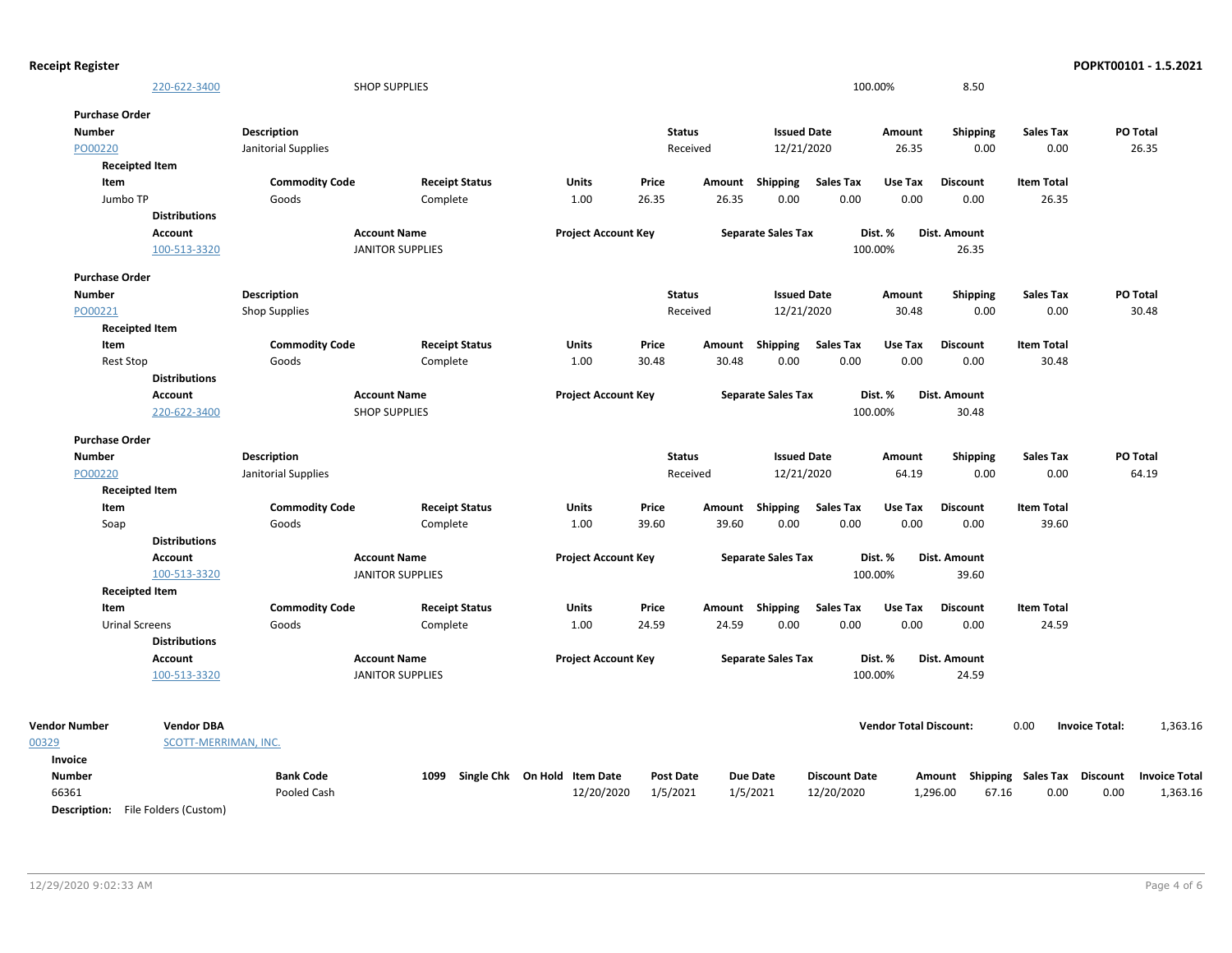| <b>Receipt Register</b> |                                           |                       |                         |                                   |                  |        |                           |                      |                               |                                    |                   | POPKT00101 - 1.5.2021             |
|-------------------------|-------------------------------------------|-----------------------|-------------------------|-----------------------------------|------------------|--------|---------------------------|----------------------|-------------------------------|------------------------------------|-------------------|-----------------------------------|
|                         | 220-622-3400                              |                       | <b>SHOP SUPPLIES</b>    |                                   |                  |        |                           |                      | 100.00%                       | 8.50                               |                   |                                   |
| <b>Purchase Order</b>   |                                           |                       |                         |                                   |                  |        |                           |                      |                               |                                    |                   |                                   |
| <b>Number</b>           |                                           | <b>Description</b>    |                         |                                   | <b>Status</b>    |        | <b>Issued Date</b>        |                      | Amount                        | <b>Shipping</b>                    | <b>Sales Tax</b>  | PO Total                          |
| PO00220                 |                                           | Janitorial Supplies   |                         |                                   | Received         |        | 12/21/2020                |                      | 26.35                         | 0.00                               | 0.00              | 26.35                             |
|                         | <b>Receipted Item</b>                     |                       |                         |                                   |                  |        |                           |                      |                               |                                    |                   |                                   |
| Item                    |                                           | <b>Commodity Code</b> | <b>Receipt Status</b>   | Units                             | Price            | Amount | Shipping                  | <b>Sales Tax</b>     | Use Tax                       | <b>Discount</b>                    | <b>Item Total</b> |                                   |
| Jumbo TP                |                                           | Goods                 | Complete                | 1.00                              | 26.35            | 26.35  | 0.00                      | 0.00                 | 0.00                          | 0.00                               | 26.35             |                                   |
|                         | <b>Distributions</b>                      |                       |                         |                                   |                  |        |                           |                      |                               |                                    |                   |                                   |
|                         | Account                                   |                       | <b>Account Name</b>     | <b>Project Account Key</b>        |                  |        | <b>Separate Sales Tax</b> |                      | Dist. %                       | Dist. Amount                       |                   |                                   |
|                         | 100-513-3320                              |                       | <b>JANITOR SUPPLIES</b> |                                   |                  |        |                           |                      | 100.00%                       | 26.35                              |                   |                                   |
| <b>Purchase Order</b>   |                                           |                       |                         |                                   |                  |        |                           |                      |                               |                                    |                   |                                   |
| <b>Number</b>           |                                           | <b>Description</b>    |                         |                                   | <b>Status</b>    |        | <b>Issued Date</b>        |                      | Amount                        | <b>Shipping</b>                    | <b>Sales Tax</b>  | PO Total                          |
| PO00221                 |                                           | <b>Shop Supplies</b>  |                         |                                   | Received         |        | 12/21/2020                |                      | 30.48                         | 0.00                               | 0.00              | 30.48                             |
|                         | <b>Receipted Item</b>                     |                       |                         |                                   |                  |        |                           |                      |                               |                                    |                   |                                   |
| Item                    |                                           | <b>Commodity Code</b> | <b>Receipt Status</b>   | <b>Units</b>                      | Price            | Amount | Shipping                  | <b>Sales Tax</b>     | Use Tax                       | <b>Discount</b>                    | <b>Item Total</b> |                                   |
| <b>Rest Stop</b>        |                                           | Goods                 | Complete                | 1.00                              | 30.48            | 30.48  | 0.00                      | 0.00                 | 0.00                          | 0.00                               | 30.48             |                                   |
|                         | <b>Distributions</b>                      |                       |                         |                                   |                  |        |                           |                      |                               |                                    |                   |                                   |
|                         | <b>Account</b>                            |                       | <b>Account Name</b>     | <b>Project Account Key</b>        |                  |        | <b>Separate Sales Tax</b> |                      | Dist. %                       | Dist. Amount                       |                   |                                   |
|                         | 220-622-3400                              |                       | <b>SHOP SUPPLIES</b>    |                                   |                  |        |                           |                      | 100.00%                       | 30.48                              |                   |                                   |
| <b>Purchase Order</b>   |                                           |                       |                         |                                   |                  |        |                           |                      |                               |                                    |                   |                                   |
| <b>Number</b>           |                                           | <b>Description</b>    |                         |                                   | <b>Status</b>    |        | <b>Issued Date</b>        |                      | Amount                        | <b>Shipping</b>                    | <b>Sales Tax</b>  | PO Total                          |
| PO00220                 |                                           | Janitorial Supplies   |                         |                                   | Received         |        | 12/21/2020                |                      | 64.19                         | 0.00                               | 0.00              | 64.19                             |
|                         | <b>Receipted Item</b>                     |                       |                         |                                   |                  |        |                           |                      |                               |                                    |                   |                                   |
| Item                    |                                           | <b>Commodity Code</b> | <b>Receipt Status</b>   | Units                             | Price            | Amount | <b>Shipping</b>           | <b>Sales Tax</b>     | Use Tax                       | <b>Discount</b>                    | <b>Item Total</b> |                                   |
| Soap                    |                                           | Goods                 | Complete                | 1.00                              | 39.60            | 39.60  | 0.00                      | 0.00                 | 0.00                          | 0.00                               | 39.60             |                                   |
|                         | <b>Distributions</b>                      |                       |                         |                                   |                  |        |                           |                      |                               |                                    |                   |                                   |
|                         | <b>Account</b>                            |                       | <b>Account Name</b>     | <b>Project Account Key</b>        |                  |        | <b>Separate Sales Tax</b> |                      | Dist. %                       | Dist. Amount                       |                   |                                   |
|                         | 100-513-3320                              |                       | <b>JANITOR SUPPLIES</b> |                                   |                  |        |                           |                      | 100.00%                       | 39.60                              |                   |                                   |
|                         | <b>Receipted Item</b>                     |                       |                         |                                   |                  |        |                           |                      |                               |                                    |                   |                                   |
| Item                    |                                           | <b>Commodity Code</b> | <b>Receipt Status</b>   | Units                             | Price            |        | Amount Shipping           | <b>Sales Tax</b>     | Use Tax                       | <b>Discount</b>                    | <b>Item Total</b> |                                   |
|                         | <b>Urinal Screens</b>                     | Goods                 | Complete                | 1.00                              | 24.59            | 24.59  | 0.00                      | 0.00                 | 0.00                          | 0.00                               | 24.59             |                                   |
|                         | <b>Distributions</b>                      |                       |                         |                                   |                  |        |                           |                      |                               |                                    |                   |                                   |
|                         | <b>Account</b>                            |                       | <b>Account Name</b>     | <b>Project Account Key</b>        |                  |        | <b>Separate Sales Tax</b> |                      | Dist. %                       | Dist. Amount                       |                   |                                   |
|                         | 100-513-3320                              |                       | <b>JANITOR SUPPLIES</b> |                                   |                  |        |                           |                      | 100.00%                       | 24.59                              |                   |                                   |
|                         |                                           |                       |                         |                                   |                  |        |                           |                      |                               |                                    |                   |                                   |
| <b>Vendor Number</b>    | <b>Vendor DBA</b>                         |                       |                         |                                   |                  |        |                           |                      | <b>Vendor Total Discount:</b> |                                    | 0.00              | <b>Invoice Total:</b><br>1,363.16 |
| 00329                   | SCOTT-MERRIMAN, INC.                      |                       |                         |                                   |                  |        |                           |                      |                               |                                    |                   |                                   |
| Invoice                 |                                           |                       |                         |                                   |                  |        |                           |                      |                               |                                    |                   |                                   |
| <b>Number</b>           |                                           | <b>Bank Code</b>      |                         | 1099 Single Chk On Hold Item Date | <b>Post Date</b> |        | <b>Due Date</b>           | <b>Discount Date</b> |                               | Amount Shipping Sales Tax Discount |                   | <b>Invoice Total</b>              |
| 66361                   |                                           | Pooled Cash           |                         | 12/20/2020                        | 1/5/2021         |        | 1/5/2021                  | 12/20/2020           |                               | 1,296.00<br>67.16                  | 0.00              | 0.00<br>1,363.16                  |
|                         | <b>Description:</b> File Folders (Custom) |                       |                         |                                   |                  |        |                           |                      |                               |                                    |                   |                                   |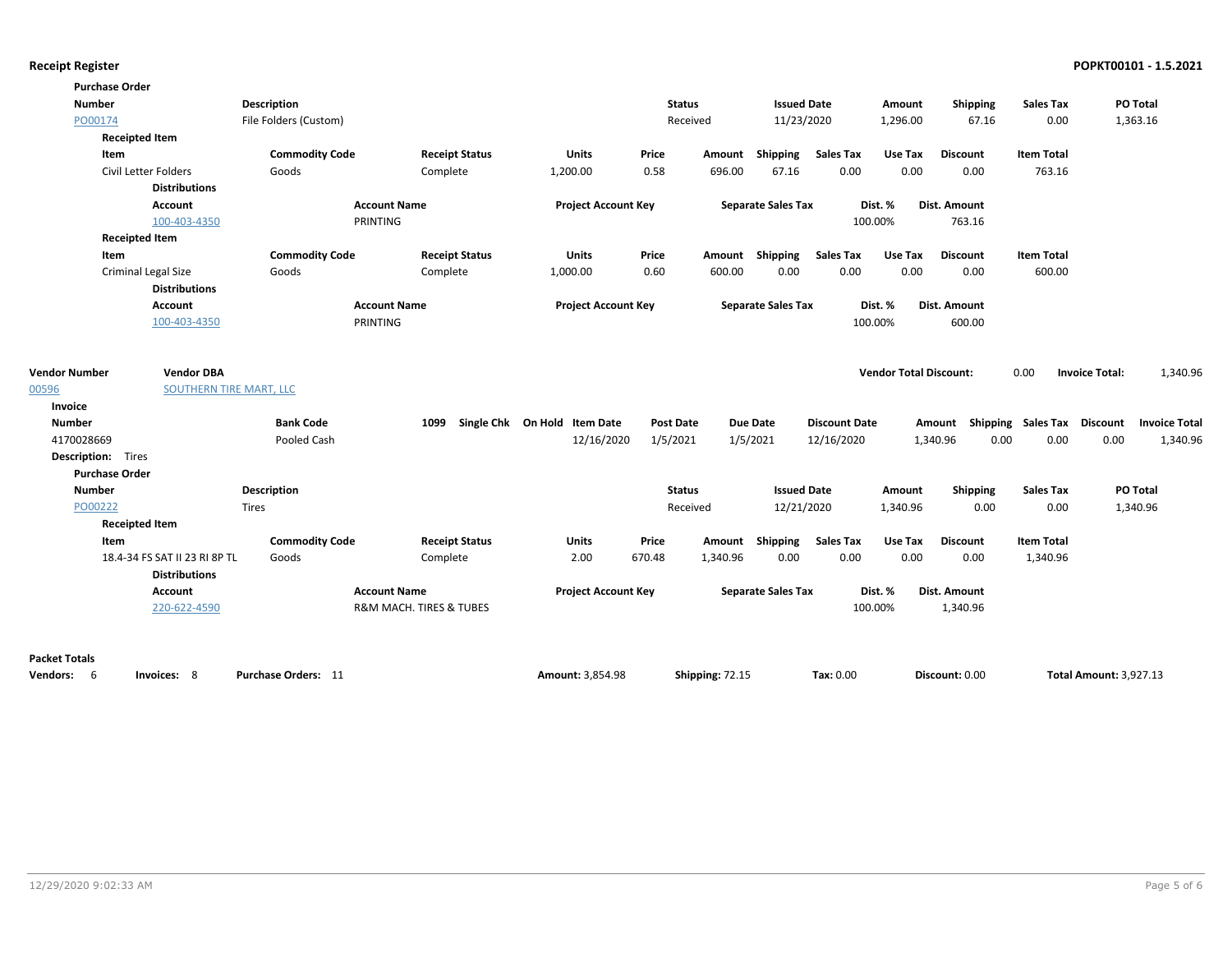| <b>Purchase Order</b>     |                               |                       |                         |                              |                  |          |                           |                      |                               |                     |                             |                       |                      |
|---------------------------|-------------------------------|-----------------------|-------------------------|------------------------------|------------------|----------|---------------------------|----------------------|-------------------------------|---------------------|-----------------------------|-----------------------|----------------------|
| <b>Number</b>             |                               | Description           |                         |                              | <b>Status</b>    |          | <b>Issued Date</b>        |                      | Amount                        | <b>Shipping</b>     | <b>Sales Tax</b>            |                       | PO Total             |
| PO00174                   |                               | File Folders (Custom) |                         |                              | Received         |          | 11/23/2020                |                      | 1,296.00                      | 67.16               | 0.00                        |                       | 1,363.16             |
| <b>Receipted Item</b>     |                               |                       |                         |                              |                  |          |                           |                      |                               |                     |                             |                       |                      |
| Item                      |                               | <b>Commodity Code</b> | <b>Receipt Status</b>   | <b>Units</b>                 | Price            | Amount   | Shipping                  | <b>Sales Tax</b>     | Use Tax                       | <b>Discount</b>     | <b>Item Total</b>           |                       |                      |
|                           | Civil Letter Folders          | Goods                 | Complete                | 1,200.00                     | 0.58             | 696.00   | 67.16                     | 0.00                 | 0.00                          | 0.00                | 763.16                      |                       |                      |
|                           | <b>Distributions</b>          |                       |                         |                              |                  |          |                           |                      |                               |                     |                             |                       |                      |
|                           | <b>Account</b>                |                       | <b>Account Name</b>     | <b>Project Account Key</b>   |                  |          | <b>Separate Sales Tax</b> |                      | Dist. %                       | <b>Dist. Amount</b> |                             |                       |                      |
|                           | 100-403-4350                  |                       | PRINTING                |                              |                  |          |                           |                      | 100.00%                       | 763.16              |                             |                       |                      |
| <b>Receipted Item</b>     |                               |                       |                         |                              |                  |          |                           |                      |                               |                     |                             |                       |                      |
| Item                      |                               | <b>Commodity Code</b> | <b>Receipt Status</b>   | <b>Units</b>                 | Price            |          | Amount Shipping           | <b>Sales Tax</b>     | Use Tax                       | <b>Discount</b>     | <b>Item Total</b>           |                       |                      |
|                           | <b>Criminal Legal Size</b>    | Goods                 | Complete                | 1,000.00                     | 0.60             | 600.00   | 0.00                      | 0.00                 | 0.00                          | 0.00                | 600.00                      |                       |                      |
|                           | <b>Distributions</b>          |                       |                         |                              |                  |          |                           |                      |                               |                     |                             |                       |                      |
|                           | Account                       |                       | <b>Account Name</b>     | <b>Project Account Key</b>   |                  |          | <b>Separate Sales Tax</b> |                      | Dist. %                       | Dist. Amount        |                             |                       |                      |
|                           | 100-403-4350                  |                       | PRINTING                |                              |                  |          |                           |                      | 100.00%                       | 600.00              |                             |                       |                      |
| <b>Vendor Number</b>      | <b>Vendor DBA</b>             |                       |                         |                              |                  |          |                           |                      | <b>Vendor Total Discount:</b> |                     | 0.00                        | <b>Invoice Total:</b> | 1,340.96             |
| 00596                     | SOUTHERN TIRE MART, LLC       |                       |                         |                              |                  |          |                           |                      |                               |                     |                             |                       |                      |
| Invoice                   |                               |                       |                         |                              |                  |          |                           |                      |                               |                     |                             |                       |                      |
| <b>Number</b>             |                               | <b>Bank Code</b>      | 1099                    | Single Chk On Hold Item Date | <b>Post Date</b> |          | <b>Due Date</b>           | <b>Discount Date</b> |                               | Amount              | Shipping Sales Tax Discount |                       | <b>Invoice Total</b> |
| 4170028669                |                               | Pooled Cash           |                         | 12/16/2020                   | 1/5/2021         |          | 1/5/2021                  | 12/16/2020           |                               | 1,340.96<br>0.00    | 0.00                        | 0.00                  | 1,340.96             |
| <b>Description:</b> Tires |                               |                       |                         |                              |                  |          |                           |                      |                               |                     |                             |                       |                      |
| <b>Purchase Order</b>     |                               |                       |                         |                              |                  |          |                           |                      |                               |                     |                             |                       |                      |
| <b>Number</b>             |                               | <b>Description</b>    |                         |                              | <b>Status</b>    |          | <b>Issued Date</b>        |                      | Amount                        | Shipping            | <b>Sales Tax</b>            |                       | PO Total             |
| PO00222                   |                               | <b>Tires</b>          |                         |                              | Received         |          | 12/21/2020                |                      | 1,340.96                      | 0.00                | 0.00                        |                       | 1,340.96             |
| <b>Receipted Item</b>     |                               |                       |                         |                              |                  |          |                           |                      |                               |                     |                             |                       |                      |
| Item                      |                               | <b>Commodity Code</b> | <b>Receipt Status</b>   | <b>Units</b>                 | Price            | Amount   | Shipping                  | <b>Sales Tax</b>     | Use Tax                       | <b>Discount</b>     | <b>Item Total</b>           |                       |                      |
|                           | 18.4-34 FS SAT II 23 RI 8P TL | Goods                 | Complete                | 2.00                         | 670.48           | 1,340.96 | 0.00                      | 0.00                 | 0.00                          | 0.00                | 1,340.96                    |                       |                      |
|                           | <b>Distributions</b>          |                       |                         |                              |                  |          |                           |                      |                               |                     |                             |                       |                      |
|                           | Account                       |                       | <b>Account Name</b>     | <b>Project Account Key</b>   |                  |          | <b>Separate Sales Tax</b> |                      | Dist. %                       | Dist. Amount        |                             |                       |                      |
|                           | 220-622-4590                  |                       | R&M MACH. TIRES & TUBES |                              |                  |          |                           |                      | 100.00%                       | 1,340.96            |                             |                       |                      |
|                           |                               |                       |                         |                              |                  |          |                           |                      |                               |                     |                             |                       |                      |

### **Packet Totals**

| <b>Vendors:</b> | Invoices: | Purchas<br>e Orders: | Amount: 3.854.98<br>the contract of the contract of the contract of the contract of the contract of the contract of the contract of | Shipping: 72.1. | $\textsf{Tax: } 0.00$ | Discount: 0.00 | <b>Total Amount: 3.927.13</b> |
|-----------------|-----------|----------------------|-------------------------------------------------------------------------------------------------------------------------------------|-----------------|-----------------------|----------------|-------------------------------|
|-----------------|-----------|----------------------|-------------------------------------------------------------------------------------------------------------------------------------|-----------------|-----------------------|----------------|-------------------------------|